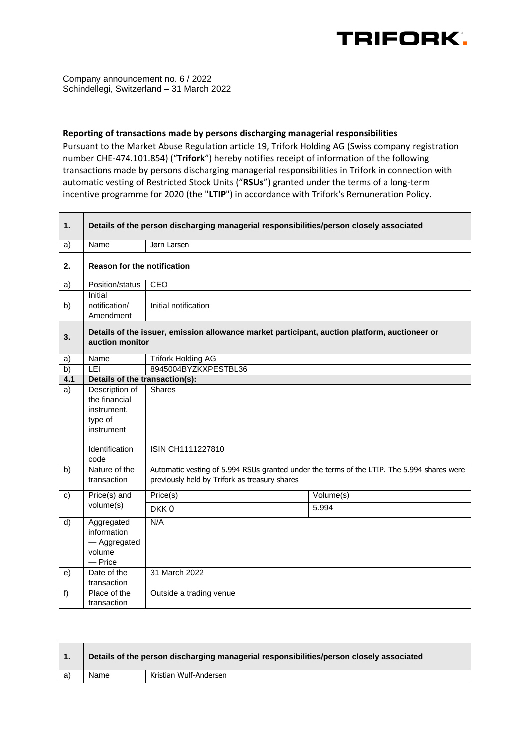

Company announcement no. 6 / 2022 Schindellegi, Switzerland – 31 March 2022

## **Reporting of transactions made by persons discharging managerial responsibilities**

Pursuant to the Market Abuse Regulation article 19, Trifork Holding AG (Swiss company registration number CHE-474.101.854) ("**Trifork**") hereby notifies receipt of information of the following transactions made by persons discharging managerial responsibilities in Trifork in connection with automatic vesting of Restricted Stock Units ("**RSUs**") granted under the terms of a long-term incentive programme for 2020 (the "**LTIP**") in accordance with Trifork's Remuneration Policy.

| 1.  | Details of the person discharging managerial responsibilities/person closely associated                          |                                                                                                                                             |           |  |  |
|-----|------------------------------------------------------------------------------------------------------------------|---------------------------------------------------------------------------------------------------------------------------------------------|-----------|--|--|
| a)  | Name                                                                                                             | Jørn Larsen                                                                                                                                 |           |  |  |
| 2.  | <b>Reason for the notification</b>                                                                               |                                                                                                                                             |           |  |  |
| a)  | Position/status                                                                                                  | <b>CEO</b>                                                                                                                                  |           |  |  |
| b)  | Initial<br>notification/<br>Amendment                                                                            | Initial notification                                                                                                                        |           |  |  |
| 3.  | Details of the issuer, emission allowance market participant, auction platform, auctioneer or<br>auction monitor |                                                                                                                                             |           |  |  |
| a)  | Name                                                                                                             | <b>Trifork Holding AG</b>                                                                                                                   |           |  |  |
| b)  | LEI                                                                                                              | 8945004BYZKXPESTBL36                                                                                                                        |           |  |  |
| 4.1 |                                                                                                                  | Details of the transaction(s):                                                                                                              |           |  |  |
| a)  | Description of<br>the financial<br>instrument,<br>type of<br>instrument<br>Identification                        | <b>Shares</b><br>ISIN CH1111227810                                                                                                          |           |  |  |
|     | code                                                                                                             |                                                                                                                                             |           |  |  |
| b)  | Nature of the<br>transaction                                                                                     | Automatic vesting of 5.994 RSUs granted under the terms of the LTIP. The 5.994 shares were<br>previously held by Trifork as treasury shares |           |  |  |
| c)  | Price(s) and<br>volume(s)                                                                                        | Price(s)                                                                                                                                    | Volume(s) |  |  |
|     |                                                                                                                  | DKK <sub>0</sub>                                                                                                                            | 5.994     |  |  |
| d)  | Aggregated<br>information<br>- Aggregated<br>volume<br>$-$ Price                                                 | N/A                                                                                                                                         |           |  |  |
| e)  | Date of the<br>transaction                                                                                       | 31 March 2022                                                                                                                               |           |  |  |
| f   | Place of the<br>transaction                                                                                      | Outside a trading venue                                                                                                                     |           |  |  |

|    | Details of the person discharging managerial responsibilities/person closely associated |                        |
|----|-----------------------------------------------------------------------------------------|------------------------|
| a) | Name                                                                                    | Kristian Wulf-Andersen |